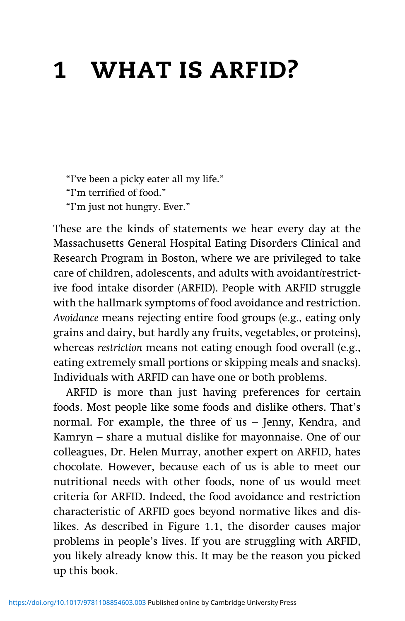### WHAT IS ARFID?  $\mathbf 1$

"I've been a picky eater all my life." "I'm terrified of food." "I'm just not hungry. Ever."

These are the kinds of statements we hear every day at the Massachusetts General Hospital Eating Disorders Clinical and Research Program in Boston, where we are privileged to take care of children, adolescents, and adults with avoidant/restrictive food intake disorder (ARFID). People with ARFID struggle with the hallmark symptoms of food avoidance and restriction. *Avoidance* means rejecting entire food groups (e.g., eating only grains and dairy, but hardly any fruits, vegetables, or proteins), whereas *restriction* means not eating enough food overall (e.g., eating extremely small portions or skipping meals and snacks). Individuals with ARFID can have one or both problems.

ARFID is more than just having preferences for certain foods. Most people like some foods and dislike others. That's normal. For example, the three of us – Jenny, Kendra, and Kamryn – share a mutual dislike for mayonnaise. One of our colleagues, Dr. Helen Murray, another expert on ARFID, hates chocolate. However, because each of us is able to meet our nutritional needs with other foods, none of us would meet criteria for ARFID. Indeed, the food avoidance and restriction characteristic of ARFID goes beyond normative likes and dislikes. As described in Figure 1.1, the disorder causes major problems in people's lives. If you are struggling with ARFID, you likely already know this. It may be the reason you picked up this book.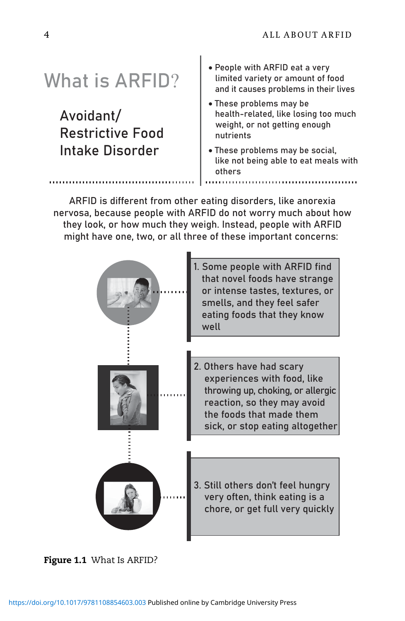Avoidant/ Restrictive Food Intake Disorder

- **What is ARFID?** Summited variety or amount of f limited variety or amount of food and it causes problems in their lives
	- · These problems may be health-related, like losing too much weight, or not getting enough nutrients
	- · These problems may be social, like not being able to eat meals with others

ARFID is different from other eating disorders, like anorexia nervosa, because people with ARFID do not worry much about how they look, or how much they weigh. Instead, people with ARFID might have one, two, or all three of these important concerns:



Figure 1.1 What Is ARFID?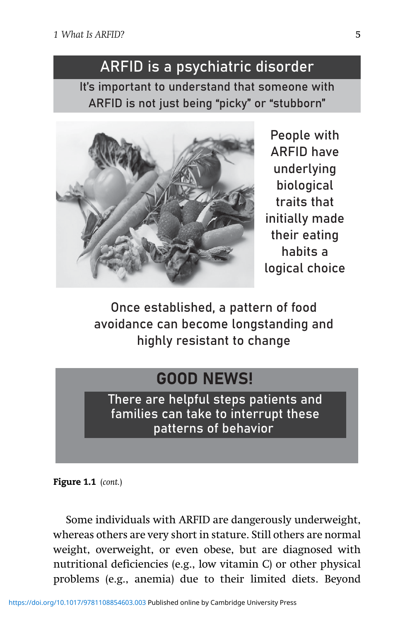ARFID is a psychiatric disorder It's important to understand that someone with ARFID is not just being "picky" or "stubborn"



People with ARFID have underlying biological traits that initially made their eating habits a logical choice

Once established, a pattern of food avoidance can become longstanding and highly resistant to change

# **GOOD NEWS!**

There are helpful steps patients and families can take to interrupt these patterns of behavior

Figure 1.1 (*cont.*)

Some individuals with ARFID are dangerously underweight, whereas others are very short in stature. Still others are normal weight, overweight, or even obese, but are diagnosed with nutritional deficiencies (e.g., low vitamin C) or other physical problems (e.g., anemia) due to their limited diets. Beyond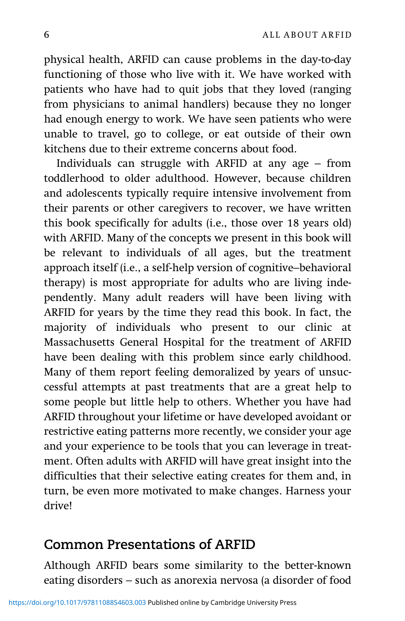physical health, ARFID can cause problems in the day-to-day functioning of those who live with it. We have worked with patients who have had to quit jobs that they loved (ranging from physicians to animal handlers) because they no longer had enough energy to work. We have seen patients who were unable to travel, go to college, or eat outside of their own kitchens due to their extreme concerns about food.

Individuals can struggle with ARFID at any age – from toddlerhood to older adulthood. However, because children and adolescents typically require intensive involvement from their parents or other caregivers to recover, we have written this book specifically for adults (i.e., those over 18 years old) with ARFID. Many of the concepts we present in this book will be relevant to individuals of all ages, but the treatment approach itself (i.e., a self-help version of cognitive–behavioral therapy) is most appropriate for adults who are living independently. Many adult readers will have been living with ARFID for years by the time they read this book. In fact, the majority of individuals who present to our clinic at Massachusetts General Hospital for the treatment of ARFID have been dealing with this problem since early childhood. Many of them report feeling demoralized by years of unsuccessful attempts at past treatments that are a great help to some people but little help to others. Whether you have had ARFID throughout your lifetime or have developed avoidant or restrictive eating patterns more recently, we consider your age and your experience to be tools that you can leverage in treatment. Often adults with ARFID will have great insight into the difficulties that their selective eating creates for them and, in turn, be even more motivated to make changes. Harness your drive!

### **Common Presentations of ARFID**

Although ARFID bears some similarity to the better-known eating disorders – such as anorexia nervosa (a disorder of food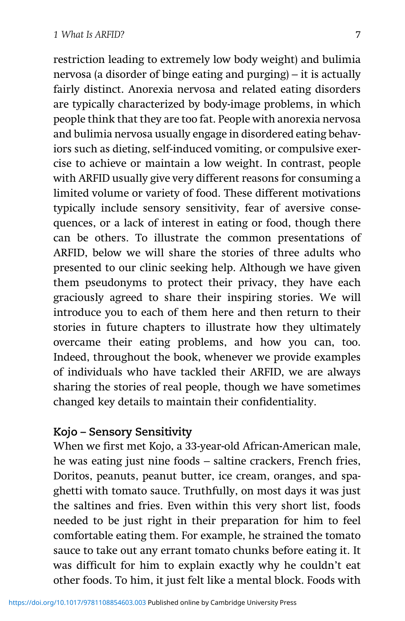restriction leading to extremely low body weight) and bulimia nervosa (a disorder of binge eating and purging) – it is actually fairly distinct. Anorexia nervosa and related eating disorders are typically characterized by body-image problems, in which people think that they are too fat. People with anorexia nervosa and bulimia nervosa usually engage in disordered eating behaviors such as dieting, self-induced vomiting, or compulsive exercise to achieve or maintain a low weight. In contrast, people with ARFID usually give very different reasons for consuming a limited volume or variety of food. These different motivations typically include sensory sensitivity, fear of aversive consequences, or a lack of interest in eating or food, though there can be others. To illustrate the common presentations of ARFID, below we will share the stories of three adults who presented to our clinic seeking help. Although we have given them pseudonyms to protect their privacy, they have each graciously agreed to share their inspiring stories. We will introduce you to each of them here and then return to their stories in future chapters to illustrate how they ultimately overcame their eating problems, and how you can, too. Indeed, throughout the book, whenever we provide examples of individuals who have tackled their ARFID, we are always sharing the stories of real people, though we have sometimes changed key details to maintain their confidentiality.

### **Kojo – Sensory Sensitivity**

When we first met Kojo, a 33-year-old African-American male, he was eating just nine foods – saltine crackers, French fries, Doritos, peanuts, peanut butter, ice cream, oranges, and spaghetti with tomato sauce. Truthfully, on most days it was just the saltines and fries. Even within this very short list, foods needed to be just right in their preparation for him to feel comfortable eating them. For example, he strained the tomato sauce to take out any errant tomato chunks before eating it. It was difficult for him to explain exactly why he couldn't eat other foods. To him, it just felt like a mental block. Foods with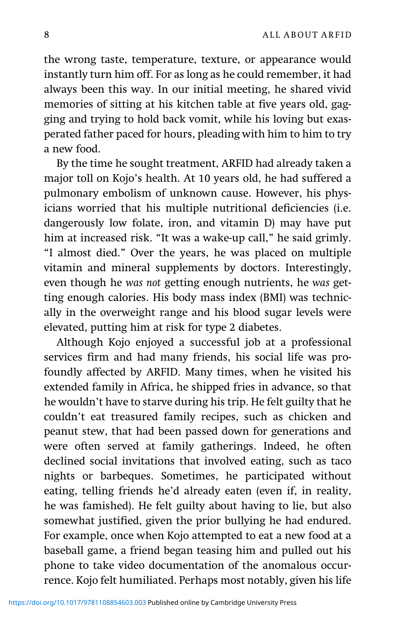the wrong taste, temperature, texture, or appearance would instantly turn him off. For as long as he could remember, it had always been this way. In our initial meeting, he shared vivid memories of sitting at his kitchen table at five years old, gagging and trying to hold back vomit, while his loving but exasperated father paced for hours, pleading with him to him to try a new food.

By the time he sought treatment, ARFID had already taken a major toll on Kojo's health. At 10 years old, he had suffered a pulmonary embolism of unknown cause. However, his physicians worried that his multiple nutritional deficiencies (i.e. dangerously low folate, iron, and vitamin D) may have put him at increased risk. "It was a wake-up call," he said grimly. "I almost died." Over the years, he was placed on multiple vitamin and mineral supplements by doctors. Interestingly, even though he *was not* getting enough nutrients, he *was* getting enough calories. His body mass index (BMI) was technically in the overweight range and his blood sugar levels were elevated, putting him at risk for type 2 diabetes.

Although Kojo enjoyed a successful job at a professional services firm and had many friends, his social life was profoundly affected by ARFID. Many times, when he visited his extended family in Africa, he shipped fries in advance, so that he wouldn't have to starve during his trip. He felt guilty that he couldn't eat treasured family recipes, such as chicken and peanut stew, that had been passed down for generations and were often served at family gatherings. Indeed, he often declined social invitations that involved eating, such as taco nights or barbeques. Sometimes, he participated without eating, telling friends he'd already eaten (even if, in reality, he was famished). He felt guilty about having to lie, but also somewhat justified, given the prior bullying he had endured. For example, once when Kojo attempted to eat a new food at a baseball game, a friend began teasing him and pulled out his phone to take video documentation of the anomalous occurrence. Kojo felt humiliated. Perhaps most notably, given his life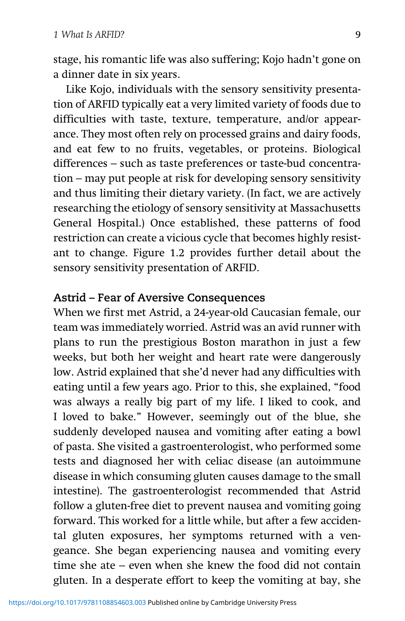stage, his romantic life was also suffering; Kojo hadn't gone on a dinner date in six years.

Like Kojo, individuals with the sensory sensitivity presentation of ARFID typically eat a very limited variety of foods due to difficulties with taste, texture, temperature, and/or appearance. They most often rely on processed grains and dairy foods, and eat few to no fruits, vegetables, or proteins. Biological differences – such as taste preferences or taste-bud concentration – may put people at risk for developing sensory sensitivity and thus limiting their dietary variety. (In fact, we are actively researching the etiology of sensory sensitivity at Massachusetts General Hospital.) Once established, these patterns of food restriction can create a vicious cycle that becomes highly resistant to change. Figure 1.2 provides further detail about the sensory sensitivity presentation of ARFID.

### **Astrid – Fear of Aversive Consequences**

When we first met Astrid, a 24-year-old Caucasian female, our team was immediately worried. Astrid was an avid runner with plans to run the prestigious Boston marathon in just a few weeks, but both her weight and heart rate were dangerously low. Astrid explained that she'd never had any difficulties with eating until a few years ago. Prior to this, she explained, "food was always a really big part of my life. I liked to cook, and I loved to bake." However, seemingly out of the blue, she suddenly developed nausea and vomiting after eating a bowl of pasta. She visited a gastroenterologist, who performed some tests and diagnosed her with celiac disease (an autoimmune disease in which consuming gluten causes damage to the small intestine). The gastroenterologist recommended that Astrid follow a gluten-free diet to prevent nausea and vomiting going forward. This worked for a little while, but after a few accidental gluten exposures, her symptoms returned with a vengeance. She began experiencing nausea and vomiting every time she ate – even when she knew the food did not contain gluten. In a desperate effort to keep the vomiting at bay, she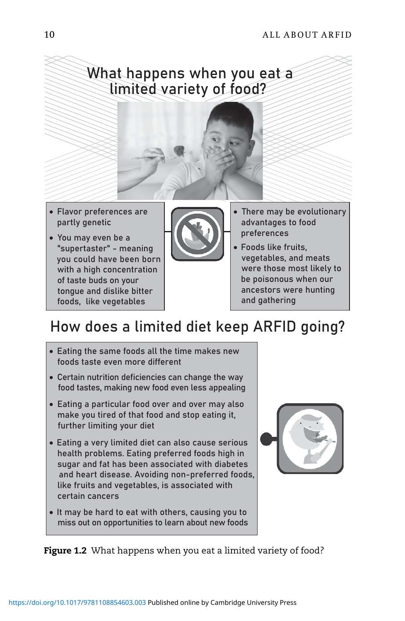

- · Flavor preferences are partly genetic
- · You may even be a "supertaster" - meaning you could have been born with a high concentration of taste buds on your tongue and dislike bitter foods, like vegetables



- There may be evolutionary advantages to food preferences
- · Foods like fruits, vegetables, and meats were those most likely to be poisonous when our ancestors were hunting and gathering

# How does a limited diet keep ARFID going?

- · Eating the same foods all the time makes new foods taste even more different
- · Certain nutrition deficiencies can change the way food tastes, making new food even less appealing
- · Eating a particular food over and over may also make you tired of that food and stop eating it, further limiting your diet
- · Eating a very limited diet can also cause serious health problems. Eating preferred foods high in sugar and fat has been associated with diabetes and heart disease. Avoiding non-preferred foods, like fruits and vegetables, is associated with certain cancers
- · It may be hard to eat with others, causing you to miss out on opportunities to learn about new foods



**Figure 1.2** What happens when you eat a limited variety of food?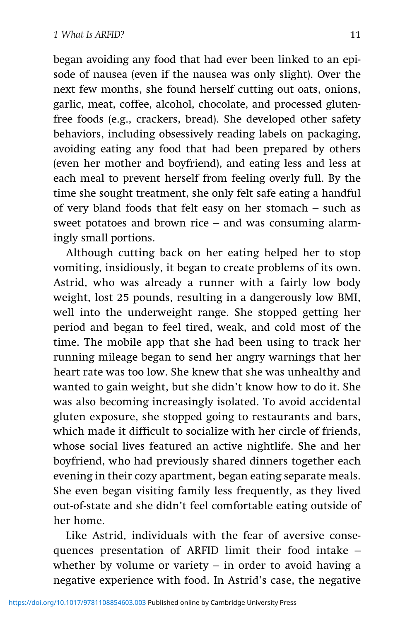began avoiding any food that had ever been linked to an episode of nausea (even if the nausea was only slight). Over the next few months, she found herself cutting out oats, onions, garlic, meat, coffee, alcohol, chocolate, and processed glutenfree foods (e.g., crackers, bread). She developed other safety behaviors, including obsessively reading labels on packaging, avoiding eating any food that had been prepared by others (even her mother and boyfriend), and eating less and less at each meal to prevent herself from feeling overly full. By the time she sought treatment, she only felt safe eating a handful of very bland foods that felt easy on her stomach – such as sweet potatoes and brown rice – and was consuming alarmingly small portions.

Although cutting back on her eating helped her to stop vomiting, insidiously, it began to create problems of its own. Astrid, who was already a runner with a fairly low body weight, lost 25 pounds, resulting in a dangerously low BMI, well into the underweight range. She stopped getting her period and began to feel tired, weak, and cold most of the time. The mobile app that she had been using to track her running mileage began to send her angry warnings that her heart rate was too low. She knew that she was unhealthy and wanted to gain weight, but she didn't know how to do it. She was also becoming increasingly isolated. To avoid accidental gluten exposure, she stopped going to restaurants and bars, which made it difficult to socialize with her circle of friends, whose social lives featured an active nightlife. She and her boyfriend, who had previously shared dinners together each evening in their cozy apartment, began eating separate meals. She even began visiting family less frequently, as they lived out-of-state and she didn't feel comfortable eating outside of her home.

Like Astrid, individuals with the fear of aversive consequences presentation of ARFID limit their food intake – whether by volume or variety  $-$  in order to avoid having a negative experience with food. In Astrid's case, the negative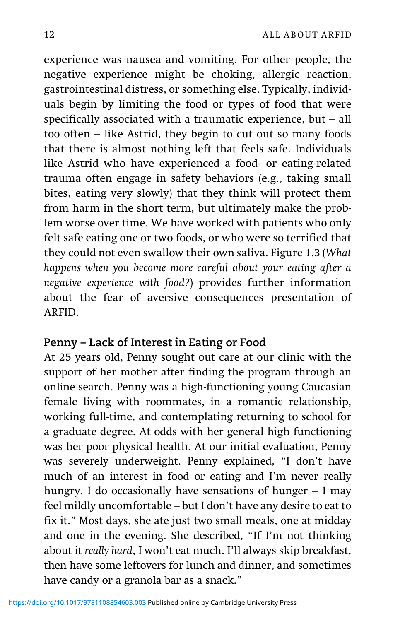experience was nausea and vomiting. For other people, the negative experience might be choking, allergic reaction, gastrointestinal distress, or something else. Typically, individuals begin by limiting the food or types of food that were specifically associated with a traumatic experience, but – all too often – like Astrid, they begin to cut out so many foods that there is almost nothing left that feels safe. Individuals like Astrid who have experienced a food- or eating-related trauma often engage in safety behaviors (e.g., taking small bites, eating very slowly) that they think will protect them from harm in the short term, but ultimately make the problem worse over time. We have worked with patients who only felt safe eating one or two foods, or who were so terrified that they could not even swallow their own saliva. Figure 1.3 (*What happens when you become more careful about your eating after a negative experience with food?*) provides further information about the fear of aversive consequences presentation of ARFID.

### **Penny – Lack of Interest in Eating or Food**

At 25 years old, Penny sought out care at our clinic with the support of her mother after finding the program through an online search. Penny was a high-functioning young Caucasian female living with roommates, in a romantic relationship, working full-time, and contemplating returning to school for a graduate degree. At odds with her general high functioning was her poor physical health. At our initial evaluation, Penny was severely underweight. Penny explained, "I don't have much of an interest in food or eating and I'm never really hungry. I do occasionally have sensations of hunger  $-1$  may feel mildly uncomfortable – but I don't have any desire to eat to fix it." Most days, she ate just two small meals, one at midday and one in the evening. She described, "If I'm not thinking about it *really hard*, I won't eat much. I'll always skip breakfast, then have some leftovers for lunch and dinner, and sometimes have candy or a granola bar as a snack."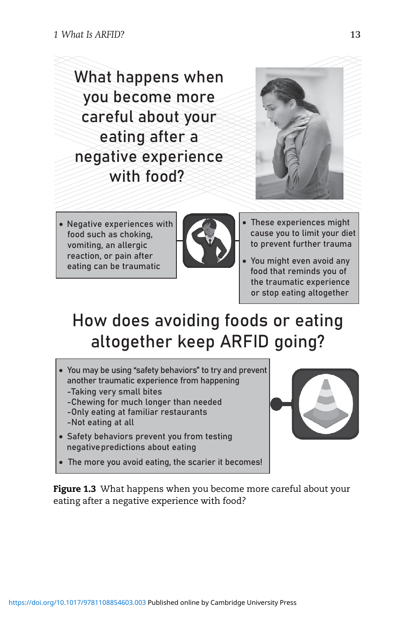What happens when you become more careful about your eating after a negative experience with food?



· Negative experiences with food such as choking, vomiting, an allergic reaction, or pain after eating can be traumatic



- These experiences might cause you to limit your diet to prevent further trauma
- You might even avoid any food that reminds you of the traumatic experience or stop eating altogether

# How does avoiding foods or eating altogether keep ARFID going?

- You may be using "safety behaviors" to try and prevent another traumatic experience from happening -Not eating at all -Only eating at familiar restaurants -Chewing for much longer than needed -Taking very small bites
- · Safety behaviors prevent you from testing negative predictions about eating
- The more you avoid eating, the scarier it becomes!

Figure 1.3 What happens when you become more careful about your eating after a negative experience with food?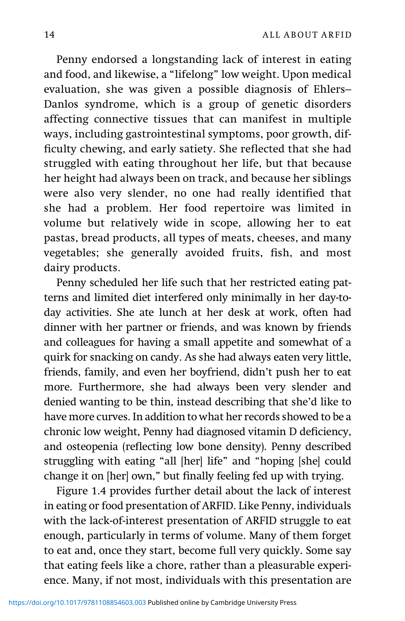Penny endorsed a longstanding lack of interest in eating and food, and likewise, a "lifelong" low weight. Upon medical evaluation, she was given a possible diagnosis of Ehlers– Danlos syndrome, which is a group of genetic disorders affecting connective tissues that can manifest in multiple ways, including gastrointestinal symptoms, poor growth, difficulty chewing, and early satiety. She reflected that she had struggled with eating throughout her life, but that because her height had always been on track, and because her siblings were also very slender, no one had really identified that she had a problem. Her food repertoire was limited in volume but relatively wide in scope, allowing her to eat pastas, bread products, all types of meats, cheeses, and many vegetables; she generally avoided fruits, fish, and most dairy products.

Penny scheduled her life such that her restricted eating patterns and limited diet interfered only minimally in her day-today activities. She ate lunch at her desk at work, often had dinner with her partner or friends, and was known by friends and colleagues for having a small appetite and somewhat of a quirk for snacking on candy. As she had always eaten very little, friends, family, and even her boyfriend, didn't push her to eat more. Furthermore, she had always been very slender and denied wanting to be thin, instead describing that she'd like to have more curves. In addition to what her records showed to be a chronic low weight, Penny had diagnosed vitamin D deficiency, and osteopenia (reflecting low bone density). Penny described struggling with eating "all [her] life" and "hoping [she] could change it on [her] own," but finally feeling fed up with trying.

Figure 1.4 provides further detail about the lack of interest in eating or food presentation of ARFID. Like Penny, individuals with the lack-of-interest presentation of ARFID struggle to eat enough, particularly in terms of volume. Many of them forget to eat and, once they start, become full very quickly. Some say that eating feels like a chore, rather than a pleasurable experience. Many, if not most, individuals with this presentation are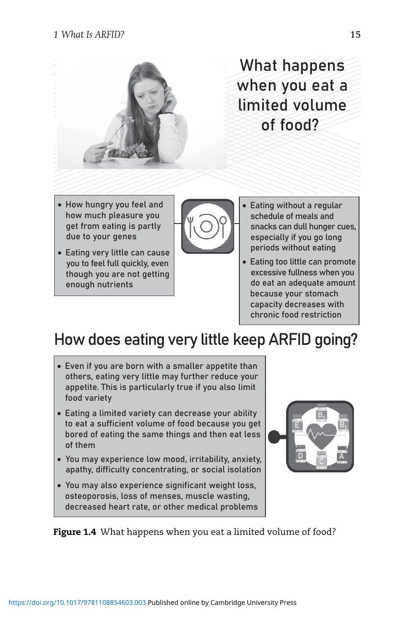

- · How hungry you feel and how much pleasure you get from eating is partly due to your genes
- · Eating very little can cause you to feel full quickly, even though you are not getting enough nutrients
- Eating without a regular schedule of meals and snacks can dull hunger cues, especially if you go long periods without eating
- · Eating too little can promote excessive fullness when you do eat an adequate amount because your stomach capacity decreases with chronic food restriction

# How does eating very little keep ARFID going?

- · Even if you are born with a smaller appetite than others, eating very little may further reduce your appetite. This is particularly true if you also limit food variety
- · Eating a limited variety can decrease your ability to eat a sufficient volume of food because you get bored of eating the same things and then eat less of them
- · You may experience low mood, irritability, anxiety, apathy, difficulty concentrating, or social isolation
- · You may also experience significant weight loss, osteoporosis, loss of menses, muscle wasting, decreased heart rate, or other medical problems



Figure 1.4 What happens when you eat a limited volume of food?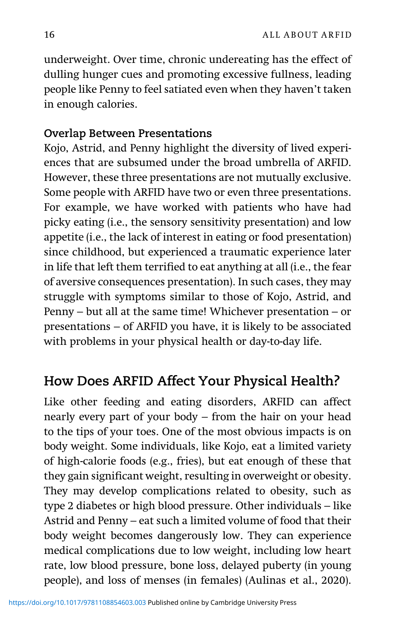underweight. Over time, chronic undereating has the effect of dulling hunger cues and promoting excessive fullness, leading people like Penny to feel satiated even when they haven't taken in enough calories.

### **Overlap Between Presentations**

Kojo, Astrid, and Penny highlight the diversity of lived experiences that are subsumed under the broad umbrella of ARFID. However, these three presentations are not mutually exclusive. Some people with ARFID have two or even three presentations. For example, we have worked with patients who have had picky eating (i.e., the sensory sensitivity presentation) and low appetite (i.e., the lack of interest in eating or food presentation) since childhood, but experienced a traumatic experience later in life that left them terrified to eat anything at all (i.e., the fear of aversive consequences presentation). In such cases, they may struggle with symptoms similar to those of Kojo, Astrid, and Penny – but all at the same time! Whichever presentation – or presentations – of ARFID you have, it is likely to be associated with problems in your physical health or day-to-day life.

### **How Does ARFID Affect Your Physical Health?**

Like other feeding and eating disorders, ARFID can affect nearly every part of your body – from the hair on your head to the tips of your toes. One of the most obvious impacts is on body weight. Some individuals, like Kojo, eat a limited variety of high-calorie foods (e.g., fries), but eat enough of these that they gain significant weight, resulting in overweight or obesity. They may develop complications related to obesity, such as type 2 diabetes or high blood pressure. Other individuals – like Astrid and Penny – eat such a limited volume of food that their body weight becomes dangerously low. They can experience medical complications due to low weight, including low heart rate, low blood pressure, bone loss, delayed puberty (in young people), and loss of menses (in females) (Aulinas et al., 2020).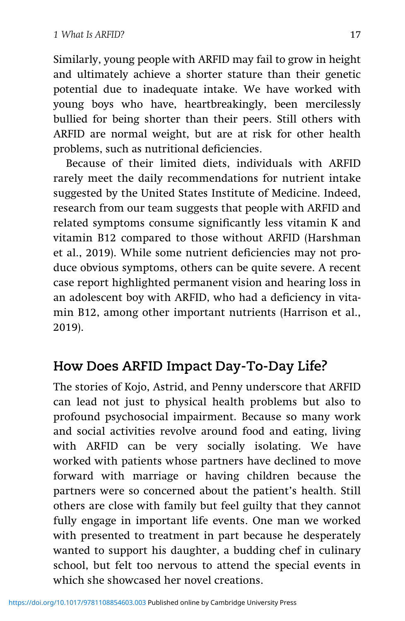Similarly, young people with ARFID may fail to grow in height and ultimately achieve a shorter stature than their genetic potential due to inadequate intake. We have worked with young boys who have, heartbreakingly, been mercilessly bullied for being shorter than their peers. Still others with ARFID are normal weight, but are at risk for other health problems, such as nutritional deficiencies.

Because of their limited diets, individuals with ARFID rarely meet the daily recommendations for nutrient intake suggested by the United States Institute of Medicine. Indeed, research from our team suggests that people with ARFID and related symptoms consume significantly less vitamin K and vitamin B12 compared to those without ARFID (Harshman et al., 2019). While some nutrient deficiencies may not produce obvious symptoms, others can be quite severe. A recent case report highlighted permanent vision and hearing loss in an adolescent boy with ARFID, who had a deficiency in vitamin B12, among other important nutrients (Harrison et al., 2019).

## **How Does ARFID Impact Day-To-Day Life?**

The stories of Kojo, Astrid, and Penny underscore that ARFID can lead not just to physical health problems but also to profound psychosocial impairment. Because so many work and social activities revolve around food and eating, living with ARFID can be very socially isolating. We have worked with patients whose partners have declined to move forward with marriage or having children because the partners were so concerned about the patient's health. Still others are close with family but feel guilty that they cannot fully engage in important life events. One man we worked with presented to treatment in part because he desperately wanted to support his daughter, a budding chef in culinary school, but felt too nervous to attend the special events in which she showcased her novel creations.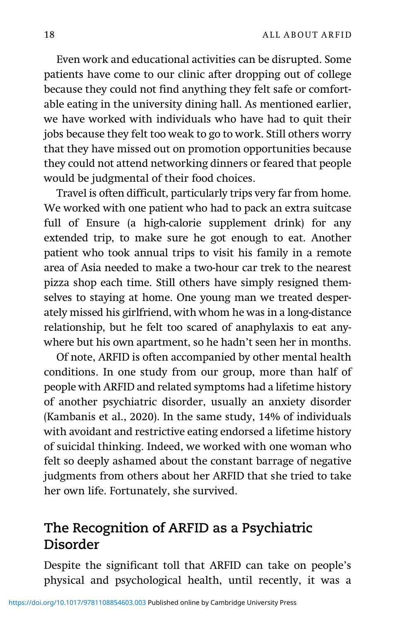Even work and educational activities can be disrupted. Some patients have come to our clinic after dropping out of college because they could not find anything they felt safe or comfortable eating in the university dining hall. As mentioned earlier, we have worked with individuals who have had to quit their jobs because they felt too weak to go to work. Still others worry that they have missed out on promotion opportunities because they could not attend networking dinners or feared that people would be judgmental of their food choices.

Travel is often difficult, particularly trips very far from home. We worked with one patient who had to pack an extra suitcase full of Ensure (a high-calorie supplement drink) for any extended trip, to make sure he got enough to eat. Another patient who took annual trips to visit his family in a remote area of Asia needed to make a two-hour car trek to the nearest pizza shop each time. Still others have simply resigned themselves to staying at home. One young man we treated desperately missed his girlfriend, with whom he was in a long-distance relationship, but he felt too scared of anaphylaxis to eat anywhere but his own apartment, so he hadn't seen her in months.

Of note, ARFID is often accompanied by other mental health conditions. In one study from our group, more than half of people with ARFID and related symptoms had a lifetime history of another psychiatric disorder, usually an anxiety disorder (Kambanis et al., 2020). In the same study, 14% of individuals with avoidant and restrictive eating endorsed a lifetime history of suicidal thinking. Indeed, we worked with one woman who felt so deeply ashamed about the constant barrage of negative judgments from others about her ARFID that she tried to take her own life. Fortunately, she survived.

# **The Recognition of ARFID as a Psychiatric Disorder**

Despite the significant toll that ARFID can take on people's physical and psychological health, until recently, it was a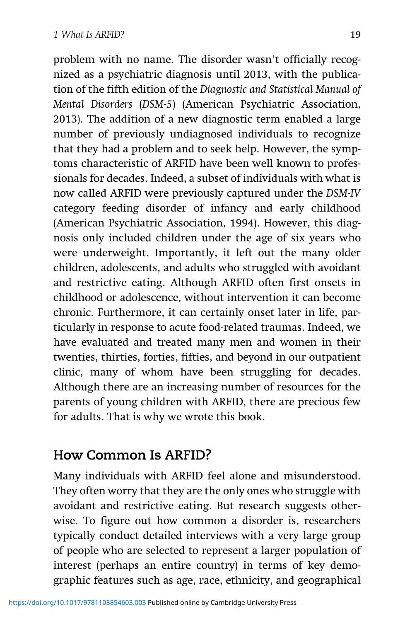problem with no name. The disorder wasn't officially recognized as a psychiatric diagnosis until 2013, with the publication of the fifth edition of the *Diagnostic and Statistical Manual of Mental Disorders* (*DSM-5*) (American Psychiatric Association, 2013). The addition of a new diagnostic term enabled a large number of previously undiagnosed individuals to recognize that they had a problem and to seek help. However, the symptoms characteristic of ARFID have been well known to professionals for decades. Indeed, a subset of individuals with what is now called ARFID were previously captured under the *DSM-IV* category feeding disorder of infancy and early childhood (American Psychiatric Association, 1994). However, this diagnosis only included children under the age of six years who were underweight. Importantly, it left out the many older children, adolescents, and adults who struggled with avoidant and restrictive eating. Although ARFID often first onsets in childhood or adolescence, without intervention it can become chronic. Furthermore, it can certainly onset later in life, particularly in response to acute food-related traumas. Indeed, we have evaluated and treated many men and women in their twenties, thirties, forties, fifties, and beyond in our outpatient clinic, many of whom have been struggling for decades. Although there are an increasing number of resources for the parents of young children with ARFID, there are precious few for adults. That is why we wrote this book.

### **How Common Is ARFID?**

Many individuals with ARFID feel alone and misunderstood. They often worry that they are the only ones who struggle with avoidant and restrictive eating. But research suggests otherwise. To figure out how common a disorder is, researchers typically conduct detailed interviews with a very large group of people who are selected to represent a larger population of interest (perhaps an entire country) in terms of key demographic features such as age, race, ethnicity, and geographical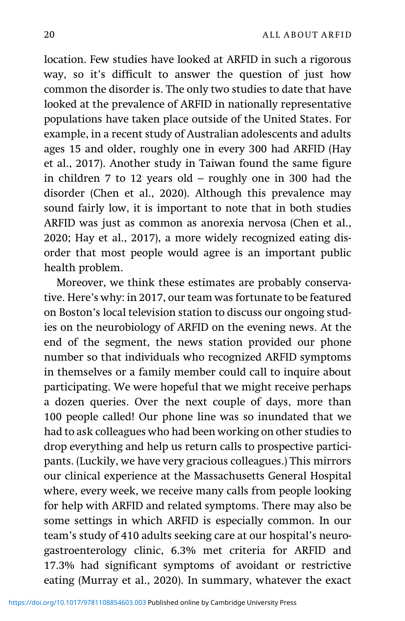location. Few studies have looked at ARFID in such a rigorous way, so it's difficult to answer the question of just how common the disorder is. The only two studies to date that have looked at the prevalence of ARFID in nationally representative populations have taken place outside of the United States. For example, in a recent study of Australian adolescents and adults ages 15 and older, roughly one in every 300 had ARFID (Hay et al., 2017). Another study in Taiwan found the same figure in children 7 to 12 years old – roughly one in 300 had the disorder (Chen et al., 2020). Although this prevalence may sound fairly low, it is important to note that in both studies ARFID was just as common as anorexia nervosa (Chen et al., 2020; Hay et al., 2017), a more widely recognized eating disorder that most people would agree is an important public health problem.

Moreover, we think these estimates are probably conservative. Here's why: in 2017, our team was fortunate to be featured on Boston's local television station to discuss our ongoing studies on the neurobiology of ARFID on the evening news. At the end of the segment, the news station provided our phone number so that individuals who recognized ARFID symptoms in themselves or a family member could call to inquire about participating. We were hopeful that we might receive perhaps a dozen queries. Over the next couple of days, more than 100 people called! Our phone line was so inundated that we had to ask colleagues who had been working on other studies to drop everything and help us return calls to prospective participants. (Luckily, we have very gracious colleagues.) This mirrors our clinical experience at the Massachusetts General Hospital where, every week, we receive many calls from people looking for help with ARFID and related symptoms. There may also be some settings in which ARFID is especially common. In our team's study of 410 adults seeking care at our hospital's neurogastroenterology clinic, 6.3% met criteria for ARFID and 17.3% had significant symptoms of avoidant or restrictive eating (Murray et al., 2020). In summary, whatever the exact